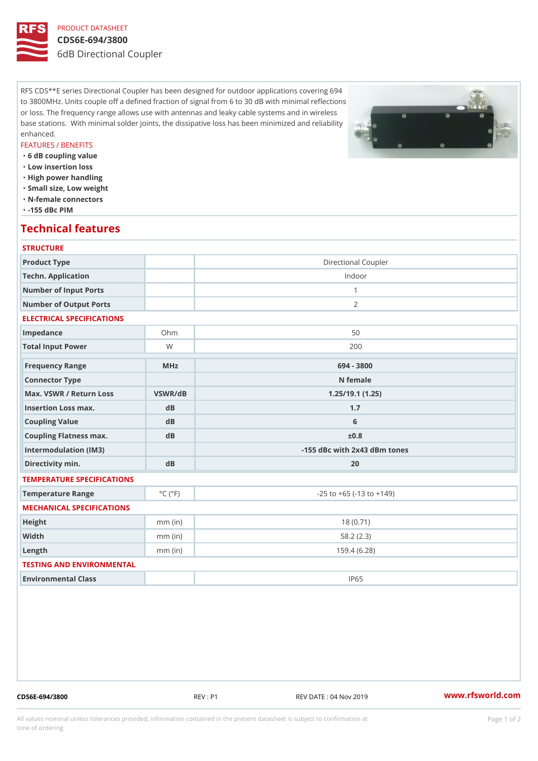## PRODUCT DATASHEET CDS6E-694/3800 6dB Directional Coupler

RFS CDS\*\*E series Directional Coupler has been designed for outdoor applications covering 694 to 3800MHz. Units couple off a defined fraction of signal from 6 to 30 dB with minimal reflections or loss. The frequency range allows use with antennas and leaky cable systems and in wireless base stations. With minimal solder joints, the dissipative loss has been minimized and reliability enhanced.

### FEATURES / BENEFITS

"6 dB coupling value

- "Low insertion loss
- "High power handling
- "Small size, Low weight
- "N-female connectors
- "-155 dBc PIM

# Technical features

### **STRUCTURE**

| Product Type                                      |                             | Directional Coupler                |
|---------------------------------------------------|-----------------------------|------------------------------------|
| Techn. Application                                |                             | Indoor                             |
| Number of Input Ports                             |                             | $\mathbf{1}$                       |
| Number of Output Ports                            |                             | 2                                  |
| ELECTRICAL SPECIFICATIONS                         |                             |                                    |
| Impedance                                         | $Oh$ m                      | 50                                 |
| Total Input Power                                 | W                           | 200                                |
| Frequency Range                                   | $M$ H z                     | 694 - 3800                         |
| Connector Type                                    |                             | N female                           |
| Max. VSWR / Return LossVSWR/dB<br>1.25/19.1(1.25) |                             |                                    |
| Insertion Loss max.                               | $d$ B                       | 1.7                                |
| Coupling Value                                    | dB                          | 6                                  |
| Coupling Flatness max.                            | $d$ B                       | $\pm 0.8$                          |
| Intermodulation (IM3)                             |                             | -155 dBc with 2x43 dBm tones       |
| Directivity min.                                  | $d$ B                       | 20                                 |
| TEMPERATURE SPECIFICATIONS                        |                             |                                    |
| Temperature Range                                 | $^{\circ}$ C ( $^{\circ}$ F | $-25$ to $+65$ ( $-13$ to $+149$ ) |
| MECHANICAL SPECIFICATIONS                         |                             |                                    |
| Height                                            | $mm$ (in)                   | 18(0.71)                           |
| Width                                             | $mm$ (in)                   | 58.2(2.3)                          |
| $L$ ength                                         | $mm$ (in)                   | 159.4(6.28)                        |
| TESTING AND ENVIRONMENTAL                         |                             |                                    |
| Environmental Class                               |                             | IP65                               |
|                                                   |                             |                                    |

CDS6E-694/3800 REV : P1 REV DATE : 04 Nov 2019 [www.](https://www.rfsworld.com)rfsworld.com

All values nominal unless tolerances provided; information contained in the present datasheet is subject to Pcapgeign manation time of ordering